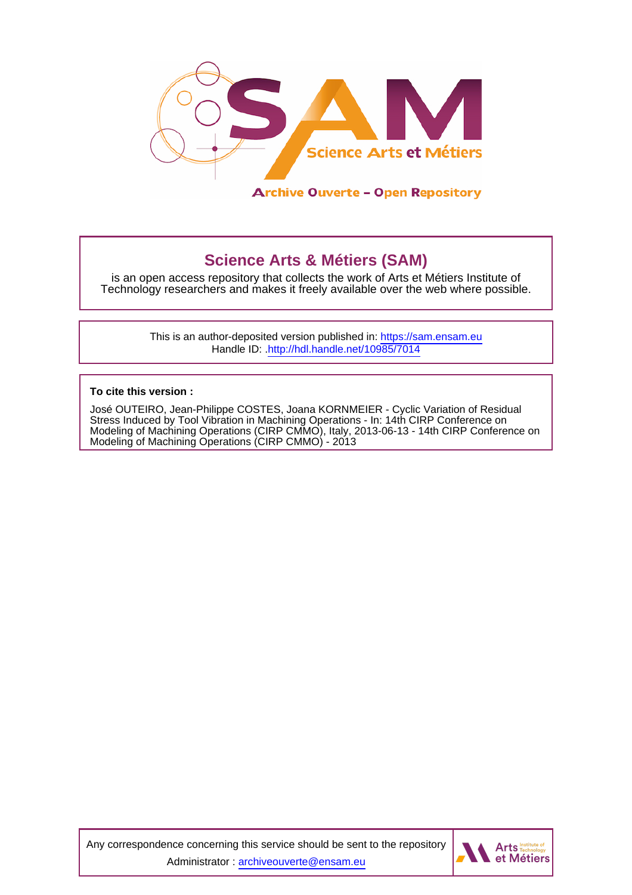

# **Science Arts & Métiers (SAM)**

is an open access repository that collects the work of Arts et Métiers Institute of Technology researchers and makes it freely available over the web where possible.

> This is an author-deposited version published in:<https://sam.ensam.eu> Handle ID: [.http://hdl.handle.net/10985/7014](http://hdl.handle.net/10985/7014)

**To cite this version :**

José OUTEIRO, Jean-Philippe COSTES, Joana KORNMEIER - Cyclic Variation of Residual Stress Induced by Tool Vibration in Machining Operations - In: 14th CIRP Conference on Modeling of Machining Operations (CIRP CMMO), Italy, 2013-06-13 - 14th CIRP Conference on Modeling of Machining Operations (CIRP CMMO) - 2013

Any correspondence concerning this service should be sent to the repository Administrator : [archiveouverte@ensam.eu](mailto:archiveouverte@ensam.eu)

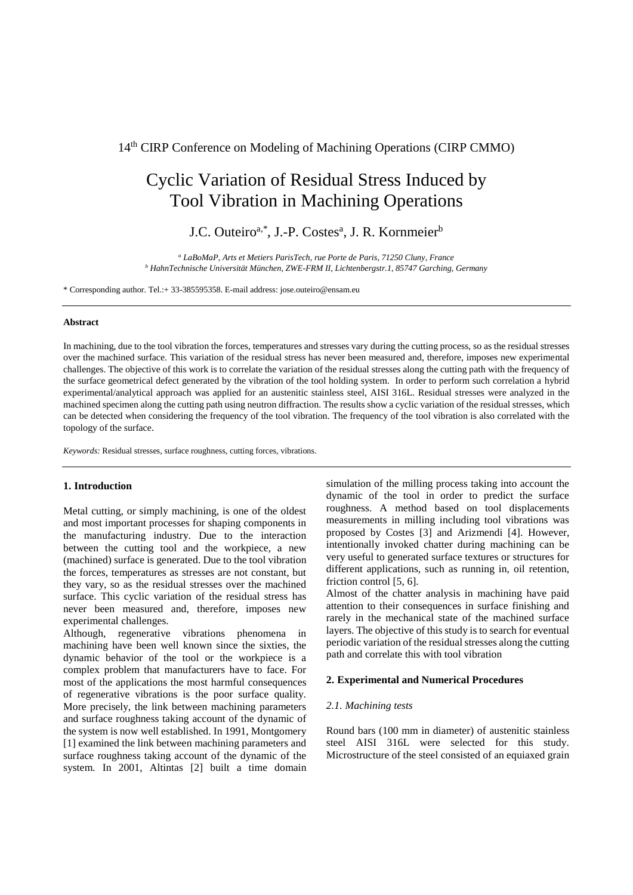# 14<sup>th</sup> CIRP Conference on Modeling of Machining Operations (CIRP CMMO)

# Cyclic Variation of Residual Stress Induced by Tool Vibration in Machining Operations

# J.C. Outeiro<sup>a,\*</sup>, J.-P. Costes<sup>a</sup>, J. R. Kornmeier<sup>b</sup>

*<sup>a</sup> LaBoMaP, Arts et Metiers ParisTech, rue Porte de Paris, 71250 Cluny, France <sup>b</sup> HahnTechnische Universität München, ZWE-FRM II, Lichtenbergstr.1, 85747 Garching, Germany*

\* Corresponding author. Tel.:+ 33-385595358. E-mail address[: jose.outeiro@ensam.eu](mailto:jose.outeiro@ensam.eu)

## **Abstract**

In machining, due to the tool vibration the forces, temperatures and stresses vary during the cutting process, so as the residual stresses over the machined surface. This variation of the residual stress has never been measured and, therefore, imposes new experimental challenges. The objective of this work is to correlate the variation of the residual stresses along the cutting path with the frequency of the surface geometrical defect generated by the vibration of the tool holding system. In order to perform such correlation a hybrid experimental/analytical approach was applied for an austenitic stainless steel, AISI 316L. Residual stresses were analyzed in the machined specimen along the cutting path using neutron diffraction. The results show a cyclic variation of the residual stresses, which can be detected when considering the frequency of the tool vibration. The frequency of the tool vibration is also correlated with the topology of the surface.

*Keywords:* Residual stresses, surface roughness, cutting forces, vibrations.

### **1. Introduction**

Metal cutting, or simply machining, is one of the oldest and most important processes for shaping components in the manufacturing industry. Due to the interaction between the cutting tool and the workpiece, a new (machined) surface is generated. Due to the tool vibration the forces, temperatures as stresses are not constant, but they vary, so as the residual stresses over the machined surface. This cyclic variation of the residual stress has never been measured and, therefore, imposes new experimental challenges.

Although, regenerative vibrations phenomena in machining have been well known since the sixties, the dynamic behavior of the tool or the workpiece is a complex problem that manufacturers have to face. For most of the applications the most harmful consequences of regenerative vibrations is the poor surface quality. More precisely, the link between machining parameters and surface roughness taking account of the dynamic of the system is now well established. In 1991, Montgomery [\[1\]](#page-5-0) examined the link between machining parameters and surface roughness taking account of the dynamic of the system. In 2001, Altintas [\[2\]](#page-5-1) built a time domain simulation of the milling process taking into account the dynamic of the tool in order to predict the surface roughness. A method based on tool displacements measurements in milling including tool vibrations was proposed by Costes [\[3\]](#page-5-2) and Arizmendi [\[4\]](#page-5-3). However, intentionally invoked chatter during machining can be very useful to generated surface textures or structures for different applications, such as running in, oil retention, friction control [\[5,](#page-5-4) 6].

Almost of the chatter analysis in machining have paid attention to their consequences in surface finishing and rarely in the mechanical state of the machined surface layers. The objective of this study is to search for eventual periodic variation of the residual stresses along the cutting path and correlate this with tool vibration

# **2. Experimental and Numerical Procedures**

#### *2.1. Machining tests*

Round bars (100 mm in diameter) of austenitic stainless steel AISI 316L were selected for this study. Microstructure of the steel consisted of an equiaxed grain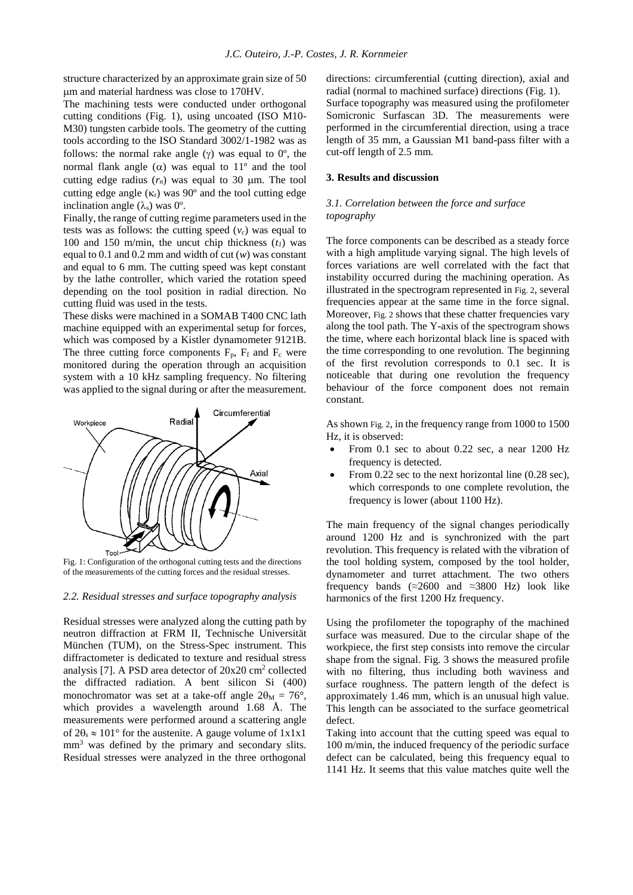structure characterized by an approximate grain size of 50 m and material hardness was close to 170HV.

The machining tests were conducted under orthogonal cutting conditions (Fig. 1), using uncoated (ISO M10- M30) tungsten carbide tools. The geometry of the cutting tools according to the ISO Standard 3002/1-1982 was as follows: the normal rake angle  $(\gamma)$  was equal to  $0^{\circ}$ , the normal flank angle  $(\alpha)$  was equal to 11<sup>°</sup> and the tool cutting edge radius  $(r_n)$  was equal to 30  $\mu$ m. The tool cutting edge angle  $(\kappa_r)$  was 90° and the tool cutting edge inclination angle  $(\lambda_s)$  was  $0^\circ$ .

Finally, the range of cutting regime parameters used in the tests was as follows: the cutting speed  $(v_c)$  was equal to 100 and 150 m/min, the uncut chip thickness  $(t<sub>1</sub>)$  was equal to 0.1 and 0.2 mm and width of cut (*w*) was constant and equal to 6 mm. The cutting speed was kept constant by the lathe controller, which varied the rotation speed depending on the tool position in radial direction. No cutting fluid was used in the tests.

These disks were machined in a SOMAB T400 CNC lath machine equipped with an experimental setup for forces, which was composed by a Kistler dynamometer 9121B. The three cutting force components  $F_p$ ,  $F_f$  and  $F_c$  were monitored during the operation through an acquisition system with a 10 kHz sampling frequency. No filtering was applied to the signal during or after the measurement.



Fig. 1: Configuration of the orthogonal cutting tests and the directions of the measurements of the cutting forces and the residual stresses.

#### *2.2. Residual stresses and surface topography analysis*

Residual stresses were analyzed along the cutting path by neutron diffraction at FRM II, Technische Universität München (TUM), on the Stress-Spec instrument. This diffractometer is dedicated to texture and residual stress analysis [\[7\]](#page-5-5). A PSD area detector of  $20x20$  cm<sup>2</sup> collected the diffracted radiation. A bent silicon Si (400) monochromator was set at a take-off angle  $2\theta_M = 76^\circ$ , which provides a wavelength around 1.68 Å. The measurements were performed around a scattering angle of  $2\theta_s \approx 101^\circ$  for the austenite. A gauge volume of  $1x1x1$  $mm<sup>3</sup>$  was defined by the primary and secondary slits. Residual stresses were analyzed in the three orthogonal

directions: circumferential (cutting direction), axial and radial (normal to machined surface) directions (Fig. 1). Surface topography was measured using the profilometer Somicronic Surfascan 3D. The measurements were performed in the circumferential direction, using a trace length of 35 mm, a Gaussian M1 band-pass filter with a cut-off length of 2.5 mm.

#### **3. Results and discussion**

# *3.1. Correlation between the force and surface topography*

The force components can be described as a steady force with a high amplitude varying signal. The high levels of forces variations are well correlated with the fact that instability occurred during the machining operation. As illustrated in the spectrogram represented in Fig. 2, several frequencies appear at the same time in the force signal. Moreover, Fig. 2 shows that these chatter frequencies vary along the tool path. The Y-axis of the spectrogram shows the time, where each horizontal black line is spaced with the time corresponding to one revolution. The beginning of the first revolution corresponds to 0.1 sec. It is noticeable that during one revolution the frequency behaviour of the force component does not remain constant.

As shown Fig. 2, in the frequency range from 1000 to 1500 Hz, it is observed:

- From 0.1 sec to about 0.22 sec, a near 1200 Hz frequency is detected.
- From 0.22 sec to the next horizontal line (0.28 sec), which corresponds to one complete revolution, the frequency is lower (about 1100 Hz).

The main frequency of the signal changes periodically around 1200 Hz and is synchronized with the part revolution. This frequency is related with the vibration of the tool holding system, composed by the tool holder, dynamometer and turret attachment. The two others frequency bands ( $\approx$ 2600 and  $\approx$ 3800 Hz) look like harmonics of the first 1200 Hz frequency.

Using the profilometer the topography of the machined surface was measured. Due to the circular shape of the workpiece, the first step consists into remove the circular shape from the signal. Fig. 3 shows the measured profile with no filtering, thus including both waviness and surface roughness. The pattern length of the defect is approximately 1.46 mm, which is an unusual high value. This length can be associated to the surface geometrical defect.

Taking into account that the cutting speed was equal to 100 m/min, the induced frequency of the periodic surface defect can be calculated, being this frequency equal to 1141 Hz. It seems that this value matches quite well the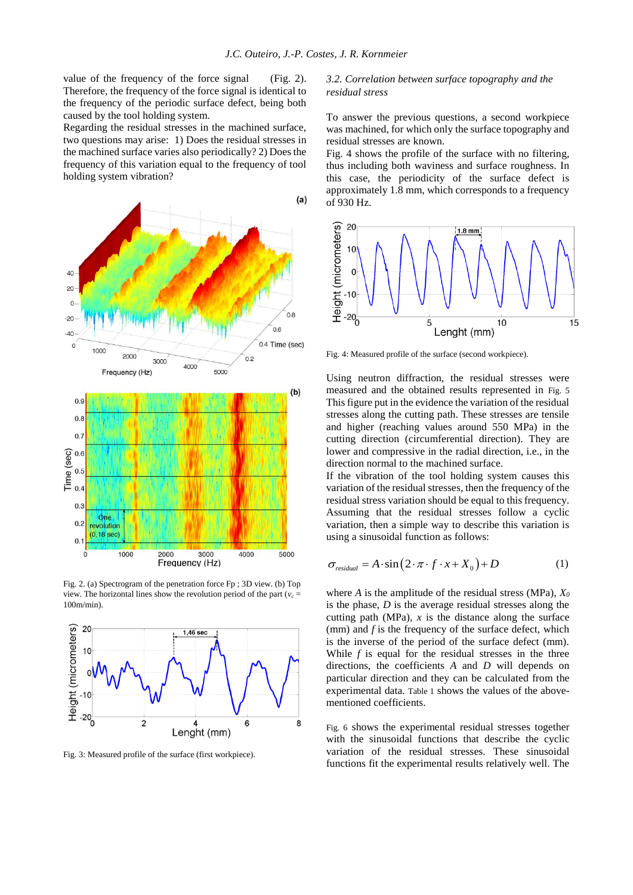value of the frequency of the force signal (Fig. 2). Therefore, the frequency of the force signal is identical to the frequency of the periodic surface defect, being both caused by the tool holding system.

Regarding the residual stresses in the machined surface, two questions may arise: 1) Does the residual stresses in the machined surface varies also periodically? 2) Does the frequency of this variation equal to the frequency of tool holding system vibration?



Fig. 2. (a) Spectrogram of the penetration force Fp ; 3D view. (b) Top view. The horizontal lines show the revolution period of the part ( $v_c$  = 100m/min).



Fig. 3: Measured profile of the surface (first workpiece).

## *3.2. Correlation between surface topography and the residual stress*

To answer the previous questions, a second workpiece was machined, for which only the surface topography and residual stresses are known.

Fig. 4 shows the profile of the surface with no filtering, thus including both waviness and surface roughness. In this case, the periodicity of the surface defect is approximately 1.8 mm, which corresponds to a frequency of 930 Hz.



Fig. 4: Measured profile of the surface (second workpiece).

Using neutron diffraction, the residual stresses were measured and the obtained results represented in Fig. 5 This figure put in the evidence the variation of the residual stresses along the cutting path. These stresses are tensile and higher (reaching values around 550 MPa) in the cutting direction (circumferential direction). They are lower and compressive in the radial direction, i.e., in the direction normal to the machined surface.

If the vibration of the tool holding system causes this variation of the residual stresses, then the frequency of the residual stress variation should be equal to this frequency. Assuming that the residual stresses follow a cyclic variation, then a simple way to describe this variation is using a sinusoidal function as follows:

$$
\sigma_{residual} = A \cdot \sin(2 \cdot \pi \cdot f \cdot x + X_0) + D \tag{1}
$$

where *A* is the amplitude of the residual stress (MPa), *X<sup>0</sup>* is the phase, *D* is the average residual stresses along the cutting path (MPa),  $x$  is the distance along the surface (mm) and *f* is the frequency of the surface defect, which is the inverse of the period of the surface defect (mm). While *f* is equal for the residual stresses in the three directions, the coefficients *A* and *D* will depends on particular direction and they can be calculated from the experimental data. Table 1 shows the values of the abovementioned coefficients.

Fig. 6 shows the experimental residual stresses together with the sinusoidal functions that describe the cyclic variation of the residual stresses. These sinusoidal functions fit the experimental results relatively well. The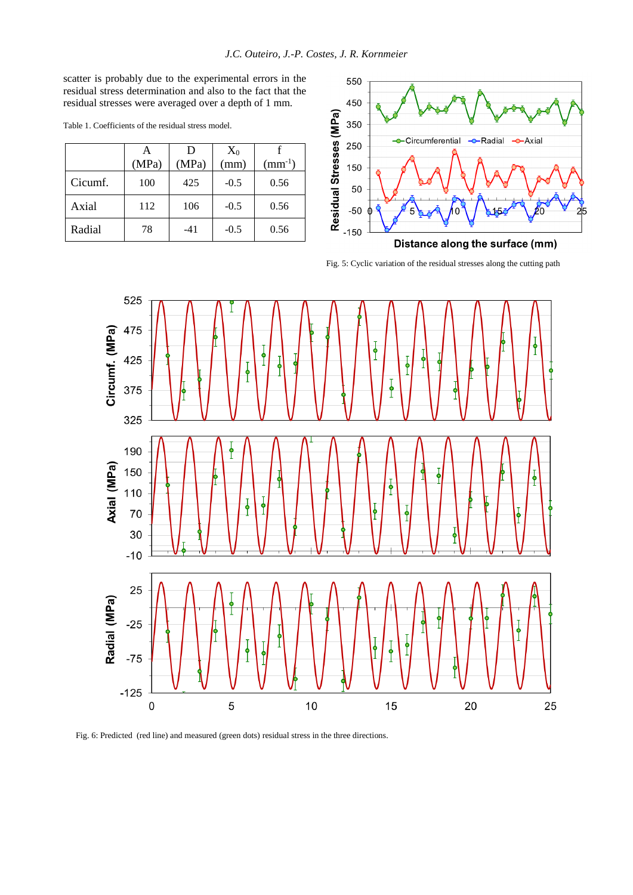scatter is probably due to the experimental errors in the residual stress determination and also to the fact that the residual stresses were averaged over a depth of 1 mm.

|         | A<br>(MPa) | (MPa) | $X_0$<br>(mm) | $(mm^{-1})$ |
|---------|------------|-------|---------------|-------------|
| Cicumf. | 100        | 425   | $-0.5$        | 0.56        |
| Axial   | 112        | 106   | $-0.5$        | 0.56        |
| Radial  | 78         | -41   | $-0.5$        | 0.56        |

Table 1. Coefficients of the residual stress model.



Fig. 5: Cyclic variation of the residual stresses along the cutting path



Fig. 6: Predicted (red line) and measured (green dots) residual stress in the three directions.